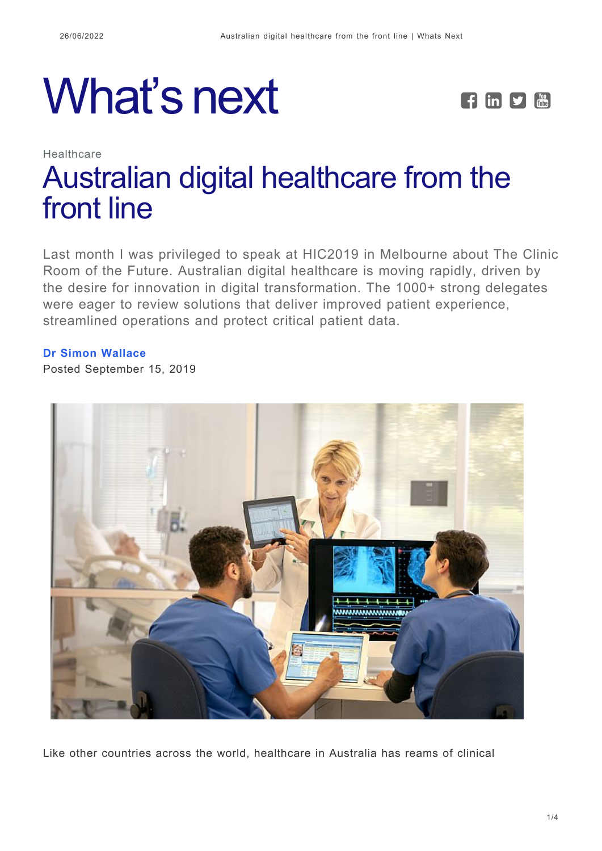# What's next **FEPE**



## Healthcare [Australian digital healthcare from the](https://whatsnext.nuance.com/en-au/healthcare/australia-hic2019-dragon-medical-one/) [front line](https://whatsnext.nuance.com/en-au/healthcare/australia-hic2019-dragon-medical-one/)

Last month I was privileged to speak at HIC2019 in Melbourne about The Clinic Room of the Future. Australian digital healthcare is moving rapidly, driven by the desire for innovation in digital transformation. The 1000+ strong delegates were eager to review solutions that deliver improved patient experience, streamlined operations and protect critical patient data.

#### **[Dr Simon Wallace](https://whatsnext.nuance.com/en-au/author/simonwallace/)**

Posted September 15, 2019



Like other countries across the world, healthcare in Australia has reams of clinical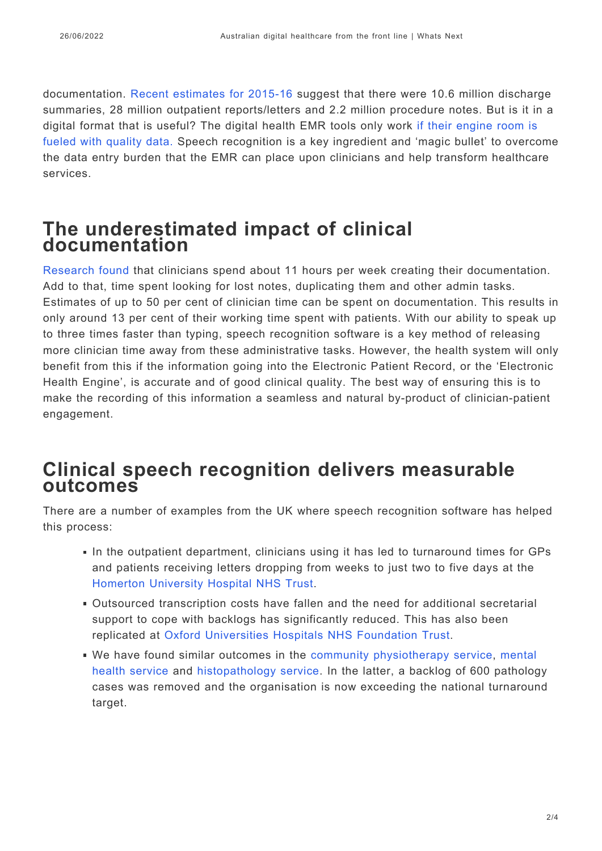documentation. [Recent estimates for 2015-16 s](https://www.aihw.gov.au/reports/australias-health/australias-health-2016-in-brief/contents/there-is-more-to-learn)uggest that there were 10.6 million discharge summaries, 28 million outpatient reports/letters and 2.2 million procedure notes. But is it in a digital format that is useful? The digital health EMR tools only work [if their engine room is](http://whatsnext.nuance.co.uk/healthcare/digital-health-ccio-summer-school-highlights-pivotal-role-of-data-in-digitising-nhs/) [fueled with quality data.](http://whatsnext.nuance.co.uk/healthcare/digital-health-ccio-summer-school-highlights-pivotal-role-of-data-in-digitising-nhs/) Speech recognition is a key ingredient and 'magic bullet' to overcome the data entry burden that the EMR can place upon clinicians and help transform healthcare services.

## **The underestimated impact of clinical documentation**

[Research found](http://engage-australia.nuance.com/3_reasons_to_speech_enable_your_clinical_documentation?cid=7010W000002WL1vQAG&ls=website&rs=www.australia.nuance.com/for-healthcare&offer=Dragon_Medical&ot=ePaper) that clinicians spend about 11 hours per week creating their documentation. Add to that, time spent looking for lost notes, duplicating them and other admin tasks. Estimates of up to 50 per cent of clinician time can be spent on documentation. This results in only around 13 per cent of their working time spent with patients. With our ability to speak up to three times faster than typing, speech recognition software is a key method of releasing more clinician time away from these administrative tasks. However, the health system will only benefit from this if the information going into the Electronic Patient Record, or the 'Electronic Health Engine', is accurate and of good clinical quality. The best way of ensuring this is to make the recording of this information a seamless and natural by-product of clinician-patient engagement.

### **Clinical speech recognition delivers measurable outcomes**

There are a number of examples from the UK where speech recognition software has helped this process:

- In the outpatient department, clinicians using it has led to turnaround times for GPs and patients receiving letters dropping from weeks to just two to five days at the [Homerton University Hospital NHS Trust](https://www.nuance.com/en-gb/healthcare/success/dragon-medical-one-homerton-university-hospital.html).
- Outsourced transcription costs have fallen and the need for additional secretarial support to cope with backlogs has significantly reduced. This has also been replicated at [Oxford Universities Hospitals NHS Foundation Trust](https://www.nuance.com/en-gb/healthcare/success/dragon-medical-one-oxford-university-hospitals.html).
- We have found similar outcomes in the [community physiotherapy service](https://www.nuance.com/content/dam/nuance/en_uk/collateral/healthcare/case-study/ss-dynamichealth-cambridgeshire-community-services-nhs-trust-en-uk.pdf), [mental](https://www.nuance.com/en-gb/healthcare/success/dragon-medical-network-edition-worcester-health-and-care.html) [health service](https://www.nuance.com/en-gb/healthcare/success/dragon-medical-network-edition-worcester-health-and-care.html) and [histopathology service](https://www.nuance.com/content/dam/nuance/en_uk/collateral/healthcare/case-study/ss-pathology-nhs-plymouth-en-uk.pdf). In the latter, a backlog of 600 pathology cases was removed and the organisation is now exceeding the national turnaround target.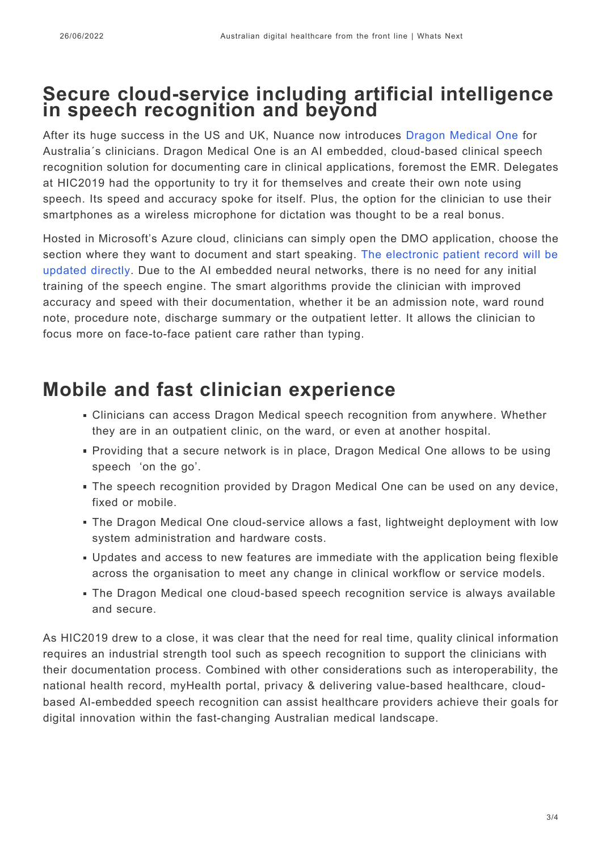## **Secure cloud-service including artificial intelligence in speech recognition and beyond**

After its huge success in the US and UK, Nuance now introduces [Dragon Medical One](https://www.nuance.com/en-au/healthcare/provider-solutions/speech-recognition/dragon-medical-one.html) for Australia´s clinicians. Dragon Medical One is an AI embedded, cloud-based clinical speech recognition solution for documenting care in clinical applications, foremost the EMR. Delegates at HIC2019 had the opportunity to try it for themselves and create their own note using speech. Its speed and accuracy spoke for itself. Plus, the option for the clinician to use their smartphones as a wireless microphone for dictation was thought to be a real bonus.

Hosted in Microsoft's Azure cloud, clinicians can simply open the DMO application, choose the section where they want to document and start speaking. [The electronic patient record will be](https://www.nuance.com/en-au/healthcare/provider-solutions/) [updated directly](https://www.nuance.com/en-au/healthcare/provider-solutions/). Due to the AI embedded neural networks, there is no need for any initial training of the speech engine. The smart algorithms provide the clinician with improved accuracy and speed with their documentation, whether it be an admission note, ward round note, procedure note, discharge summary or the outpatient letter. It allows the clinician to focus more on face-to-face patient care rather than typing.

## **Mobile and fast clinician experience**

- Clinicians can access Dragon Medical speech recognition from anywhere. Whether they are in an outpatient clinic, on the ward, or even at another hospital.
- Providing that a secure network is in place, Dragon Medical One allows to be using speech 'on the go'.
- The speech recognition provided by Dragon Medical One can be used on any device, fixed or mobile.
- The Dragon Medical One cloud-service allows a fast, lightweight deployment with low system administration and hardware costs.
- Updates and access to new features are immediate with the application being flexible across the organisation to meet any change in clinical workflow or service models.
- The Dragon Medical one cloud-based speech recognition service is always available and secure.

As HIC2019 drew to a close, it was clear that the need for real time, quality clinical information requires an industrial strength tool such as speech recognition to support the clinicians with their documentation process. Combined with other considerations such as interoperability, the national health record, myHealth portal, privacy & delivering value-based healthcare, cloudbased AI-embedded speech recognition can assist healthcare providers achieve their goals for digital innovation within the fast-changing Australian medical landscape.